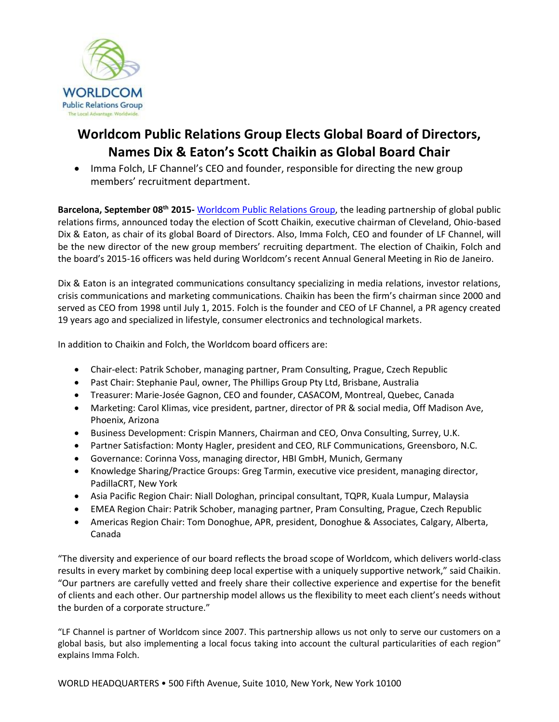

## **Worldcom Public Relations Group Elects Global Board of Directors, Names Dix & Eaton's Scott Chaikin as Global Board Chair**

• Imma Folch, LF Channel's CEO and founder, responsible for directing the new group members' recruitment department.

**Barcelona, September 08th 2015-** [Worldcom Public Relations Group,](http://www.worldcomgroup.com/) the leading partnership of global public relations firms, announced today the election of Scott Chaikin, executive chairman of Cleveland, Ohio-based Dix & Eaton, as chair of its global Board of Directors. Also, Imma Folch, CEO and founder of LF Channel, will be the new director of the new group members' recruiting department. The election of Chaikin, Folch and the board's 2015-16 officers was held during Worldcom's recent Annual General Meeting in Rio de Janeiro.

Dix & Eaton is an integrated communications consultancy specializing in media relations, investor relations, crisis communications and marketing communications. Chaikin has been the firm's chairman since 2000 and served as CEO from 1998 until July 1, 2015. Folch is the founder and CEO of LF Channel, a PR agency created 19 years ago and specialized in lifestyle, consumer electronics and technological markets.

In addition to Chaikin and Folch, the Worldcom board officers are:

- Chair-elect: Patrik Schober, managing partner, Pram Consulting, Prague, Czech Republic
- Past Chair: Stephanie Paul, owner, The Phillips Group Pty Ltd, Brisbane, Australia
- Treasurer: Marie-Josée Gagnon, CEO and founder, CASACOM, Montreal, Quebec, Canada
- Marketing: Carol Klimas, vice president, partner, director of PR & social media, Off Madison Ave, Phoenix, Arizona
- Business Development: Crispin Manners, Chairman and CEO, Onva Consulting, Surrey, U.K.
- Partner Satisfaction: Monty Hagler, president and CEO, RLF Communications, Greensboro, N.C.
- Governance: Corinna Voss, managing director, HBI GmbH, Munich, Germany
- Knowledge Sharing/Practice Groups: Greg Tarmin, executive vice president, managing director, PadillaCRT, New York
- Asia Pacific Region Chair: Niall Dologhan, principal consultant, TQPR, Kuala Lumpur, Malaysia
- EMEA Region Chair: Patrik Schober, managing partner, Pram Consulting, Prague, Czech Republic
- Americas Region Chair: Tom Donoghue, APR, president, Donoghue & Associates, Calgary, Alberta, Canada

"The diversity and experience of our board reflects the broad scope of Worldcom, which delivers world-class results in every market by combining deep local expertise with a uniquely supportive network," said Chaikin. "Our partners are carefully vetted and freely share their collective experience and expertise for the benefit of clients and each other. Our partnership model allows us the flexibility to meet each client's needs without the burden of a corporate structure."

"LF Channel is partner of Worldcom since 2007. This partnership allows us not only to serve our customers on a global basis, but also implementing a local focus taking into account the cultural particularities of each region" explains Imma Folch.